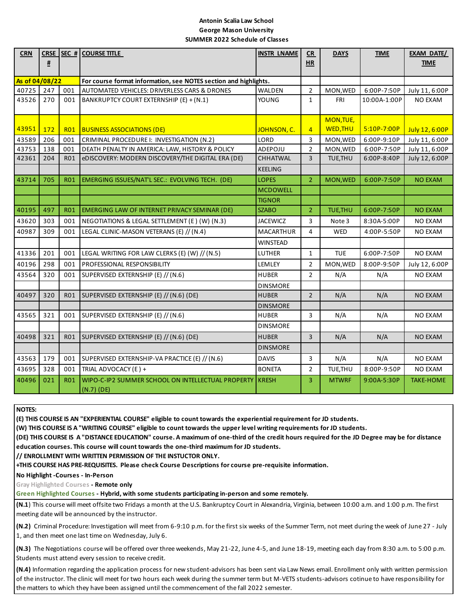## **Antonin Scalia Law School George Mason University SUMMER 2022 Schedule of Classes**

| <b>CRN</b>                                                                         | <u>#</u> | CRSE SEC # | <b>COURSE TITLE</b>                               | <b>INSTR LNAME</b> | CR<br>HR       | <b>DAYS</b>     | <b>TIME</b>  | EXAM DATE/<br><b>TIME</b> |
|------------------------------------------------------------------------------------|----------|------------|---------------------------------------------------|--------------------|----------------|-----------------|--------------|---------------------------|
|                                                                                    |          |            |                                                   |                    |                |                 |              |                           |
| As of 04/08/22<br>For course format information, see NOTES section and highlights. |          |            |                                                   |                    |                |                 |              |                           |
| 40725                                                                              | 247      | 001        | AUTOMATED VEHICLES: DRIVERLESS CARS & DRONES      | WALDEN             | $\overline{2}$ | MON, WED        | 6:00P-7:50P  | July 11, 6:00P            |
| 43526                                                                              | 270      | 001        | BANKRUPTCY COURT EXTERNSHIP (E) + (N.1)           | YOUNG              | 1              | <b>FRI</b>      | 10:00A-1:00P | NO EXAM                   |
|                                                                                    |          |            |                                                   |                    |                | MON, TUE,       |              |                           |
| 43951                                                                              | 172      | RO1        | <b>BUSINESS ASSOCIATIONS (DE)</b>                 | JOHNSON, C.        | $\overline{4}$ | <b>WED, THU</b> | 5:10P-7:00P  | July 12, 6:00P            |
| 43589                                                                              | 206      | 001        | CRIMINAL PROCEDURE I: INVESTIGATION (N.2)         | LORD               | 3              | MON, WED        | 6:00P-9:10P  | July 11, 6:00P            |
| 43753                                                                              | 138      | 001        | DEATH PENALTY IN AMERICA: LAW, HISTORY & POLICY   | ADEPOJU            | $\overline{2}$ | MON, WED        | 6:00P-7:50P  | July 11, 6:00P            |
| 42361                                                                              | 204      | <b>RO1</b> | eDISCOVERY: MODERN DISCOVERY/THE DIGITAL ERA (DE) | <b>CHHATWAL</b>    | $\overline{3}$ | TUE, THU        | 6:00P-8:40P  | July 12, 6:00P            |
|                                                                                    |          |            |                                                   | <b>KEELING</b>     |                |                 |              |                           |
| 43714                                                                              | 705      | <b>R01</b> | EMERGING ISSUES/NAT'L SEC.: EVOLVING TECH. (DE)   | <b>LOPES</b>       | $\overline{2}$ | MON, WED        | 6:00P-7:50P  | <b>NO EXAM</b>            |
|                                                                                    |          |            |                                                   | <b>MCDOWELL</b>    |                |                 |              |                           |
|                                                                                    |          |            |                                                   | <b>TIGNOR</b>      |                |                 |              |                           |
| 40195                                                                              | 497      | <b>RO1</b> | EMERGING LAW OF INTERNET PRIVACY SEMINAR (DE)     | <b>SZABO</b>       | $\overline{2}$ | TUE, THU        | 6:00P-7:50P  | <b>NO EXAM</b>            |
| 43620                                                                              | 303      | 001        | NEGOTIATIONS & LEGAL SETTLEMENT (E) (W) (N.3)     | <b>JACEWICZ</b>    | 3              | Note 3          | 8:30A-5:00P  | <b>NO EXAM</b>            |
| 40987                                                                              | 309      | 001        | LEGAL CLINIC-MASON VETERANS (E) // (N.4)          | <b>MACARTHUR</b>   | 4              | <b>WED</b>      | 4:00P-5:50P  | <b>NO EXAM</b>            |
|                                                                                    |          |            |                                                   | <b>WINSTEAD</b>    |                |                 |              |                           |
| 41336                                                                              | 201      | 001        | LEGAL WRITING FOR LAW CLERKS (E) (W) // (N.5)     | LUTHER             | 1              | <b>TUE</b>      | 6:00P-7:50P  | NO EXAM                   |
| 40196                                                                              | 298      | 001        | PROFESSIONAL RESPONSIBILITY                       | LEMLEY             | $\overline{2}$ | MON, WED        | 8:00P-9:50P  | July 12, 6:00P            |
| 43564                                                                              | 320      | 001        | SUPERVISED EXTERNSHIP (E) // (N.6)                | <b>HUBER</b>       | $\overline{2}$ | N/A             | N/A          | <b>NO EXAM</b>            |
|                                                                                    |          |            |                                                   | <b>DINSMORE</b>    |                |                 |              |                           |
| 40497                                                                              | 320      | R01        | SUPERVISED EXTERNSHIP (E) // (N.6) (DE)           | <b>HUBER</b>       | $\overline{2}$ | N/A             | N/A          | <b>NO EXAM</b>            |
|                                                                                    |          |            |                                                   | <b>DINSMORE</b>    |                |                 |              |                           |
| 43565                                                                              | 321      | 001        | SUPERVISED EXTERNSHIP (E) // (N.6)                | <b>HUBER</b>       | 3              | N/A             | N/A          | <b>NO EXAM</b>            |
|                                                                                    |          |            |                                                   | <b>DINSMORE</b>    |                |                 |              |                           |
| 40498                                                                              | 321      | <b>RO1</b> | SUPERVISED EXTERNSHIP (E) // (N.6) (DE)           | <b>HUBER</b>       | 3              | N/A             | N/A          | <b>NO EXAM</b>            |
|                                                                                    |          |            |                                                   | <b>DINSMORE</b>    |                |                 |              |                           |
| 43563                                                                              | 179      | 001        | SUPERVISED EXTERNSHIP-VA PRACTICE (E) // (N.6)    | <b>DAVIS</b>       | 3              | N/A             | N/A          | NO EXAM                   |
| 43695                                                                              | 328      | 001        | TRIAL ADVOCACY (E) +                              | <b>BONETA</b>      | 2              | TUE, THU        | 8:00P-9:50P  | <b>NO EXAM</b>            |
| 40496                                                                              | 021      | <b>R01</b> | WIPO-C-IP2 SUMMER SCHOOL ON INTELLECTUAL PROPERTY | <b>KRESH</b>       | 3              | <b>MTWRF</b>    | 9:00A-5:30P  | <b>TAKE-HOME</b>          |
|                                                                                    |          |            | $(N.7)$ (DE)                                      |                    |                |                 |              |                           |

**NOTES:** 

**(E) THIS COURSE IS AN "EXPERIENTIAL COURSE" eligible to count towards the experiential requirement for JD students.**

**(W) THIS COURSE IS A "WRITING COURSE" eligible to count towards the upper level writing requirements for JD students.**

**(DE) THIS COURSE IS A "DISTANCE EDUCATION" course. A maximum of one-third of the credit hours required for the JD Degree may be for distance education courses. This course will count towards the one-third maximum for JD students.**

**// ENROLLMENT WITH WRITTEN PERMISSION OF THE INSTUCTOR ONLY.** 

**+THIS COURSE HAS PRE-REQUISITES. Please check Course Descriptions for course pre-requisite information.**

**No Highlight -Courses - In-Person** 

**Gray Highlighted Courses - Remote only**

**Green Highlighted Courses - Hybrid, with some students participating in-person and some remotely.**

**(N.1**) This course will meet offsite two Fridays a month at the U.S. Bankruptcy Court in Alexandria, Virginia, between 10:00 a.m. and 1:00 p.m. The first meeting date will be announced by the instructor.

**(N.2)** Criminal Procedure: Investigation will meet from 6-9:10 p.m. for the first six weeks of the Summer Term, not meet during the week of June 27 - July 1, and then meet one last time on Wednesday, July 6.

**(N.3)** The Negotiations course will be offered over three weekends, May 21-22, June 4-5, and June 18-19, meeting each day from 8:30 a.m. to 5:00 p.m. Students must attend every session to receive credit.

**(N.4)** Information regarding the application process for new student-advisors has been sent via Law News email. Enrollment only with written permission of the instructor. The clinic will meet for two hours each week during the summer term but M-VETS students-advisors cotinue to have responsibility for the matters to which they have been assigned until the commencement of the fall 2022 semester.